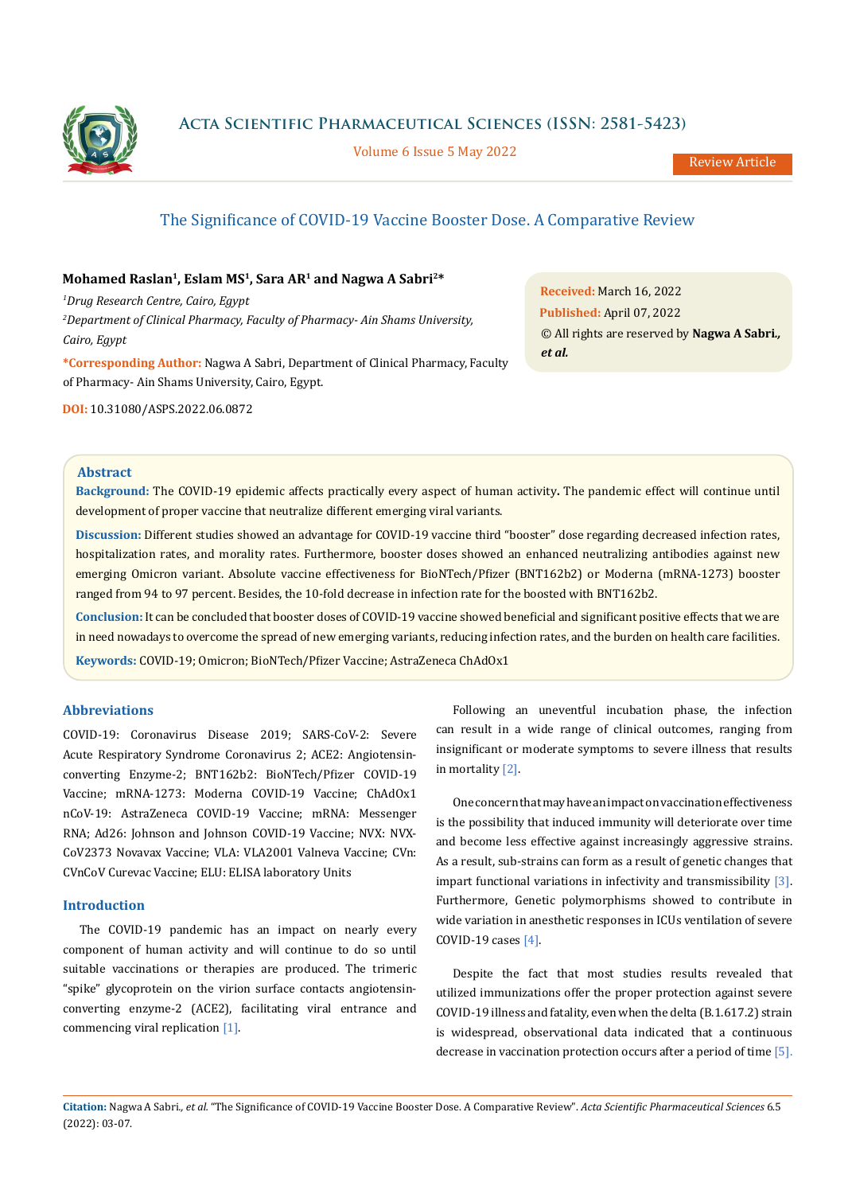

**Acta Scientific Pharmaceutical Sciences (ISSN: 2581-5423)**

Volume 6 Issue 5 May 2022

# The Significance of COVID-19 Vaccine Booster Dose. A Comparative Review

# **Mohamed Raslan1, Eslam MS1, Sara AR1 and Nagwa A Sabri2\***

*1 Drug Research Centre, Cairo, Egypt 2 Department of Clinical Pharmacy, Faculty of Pharmacy- Ain Shams University, Cairo, Egypt* 

**\*Corresponding Author:** Nagwa A Sabri, Department of Clinical Pharmacy, Faculty of Pharmacy- Ain Shams University, Cairo, Egypt.

**DOI:** [10.31080/ASPS.2022.06.0872](http://actascientific.com/ASPS/pdf/ASPS-06-0872.pdf)

**Received:** March 16, 2022 **Published:** April 07, 2022 © All rights are reserved by **Nagwa A Sabri***., et al.*

#### **Abstract**

**Background:** The COVID-19 epidemic affects practically every aspect of human activity**.** The pandemic effect will continue until development of proper vaccine that neutralize different emerging viral variants.

**Discussion:** Different studies showed an advantage for COVID-19 vaccine third "booster" dose regarding decreased infection rates, hospitalization rates, and morality rates. Furthermore, booster doses showed an enhanced neutralizing antibodies against new emerging Omicron variant. Absolute vaccine effectiveness for BioNTech/Pfizer (BNT162b2) or Moderna (mRNA-1273) booster ranged from 94 to 97 percent. Besides, the 10-fold decrease in infection rate for the boosted with BNT162b2.

**Conclusion:** It can be concluded that booster doses of COVID-19 vaccine showed beneficial and significant positive effects that we are in need nowadays to overcome the spread of new emerging variants, reducing infection rates, and the burden on health care facilities.

**Keywords:** COVID-19; Omicron; BioNTech/Pfizer Vaccine; AstraZeneca ChAdOx1

# **Abbreviations**

COVID-19: Coronavirus Disease 2019; SARS-CoV-2: Severe Acute Respiratory Syndrome Coronavirus 2; ACE2: Angiotensinconverting Enzyme-2; BNT162b2: BioNTech/Pfizer COVID-19 Vaccine; mRNA-1273: Moderna COVID-19 Vaccine; ChAdOx1 nCoV-19: AstraZeneca COVID-19 Vaccine; mRNA: Messenger RNA; Ad26: Johnson and Johnson COVID-19 Vaccine; NVX: NVX-CoV2373 Novavax Vaccine; VLA: VLA2001 Valneva Vaccine; CVn: CVnCoV Curevac Vaccine; ELU: ELISA laboratory Units

## **Introduction**

The COVID-19 pandemic has an impact on nearly every component of human activity and will continue to do so until suitable vaccinations or therapies are produced. The trimeric "spike" glycoprotein on the virion surface contacts angiotensinconverting enzyme-2 (ACE2), facilitating viral entrance and commencing viral replication [1].

Following an uneventful incubation phase, the infection can result in a wide range of clinical outcomes, ranging from insignificant or moderate symptoms to severe illness that results in mortality [2].

One concern that may have an impact on vaccination effectiveness is the possibility that induced immunity will deteriorate over time and become less effective against increasingly aggressive strains. As a result, sub-strains can form as a result of genetic changes that impart functional variations in infectivity and transmissibility [3]. Furthermore, Genetic polymorphisms showed to contribute in wide variation in anesthetic responses in ICUs ventilation of severe COVID-19 cases [4].

Despite the fact that most studies results revealed that utilized immunizations offer the proper protection against severe COVID-19 illness and fatality, even when the delta (B.1.617.2) strain is widespread, observational data indicated that a continuous decrease in vaccination protection occurs after a period of time [5].

**Citation:** Nagwa A Sabri*., et al.* "The Significance of COVID-19 Vaccine Booster Dose. A Comparative Review". *Acta Scientific Pharmaceutical Sciences* 6.5 (2022): 03-07.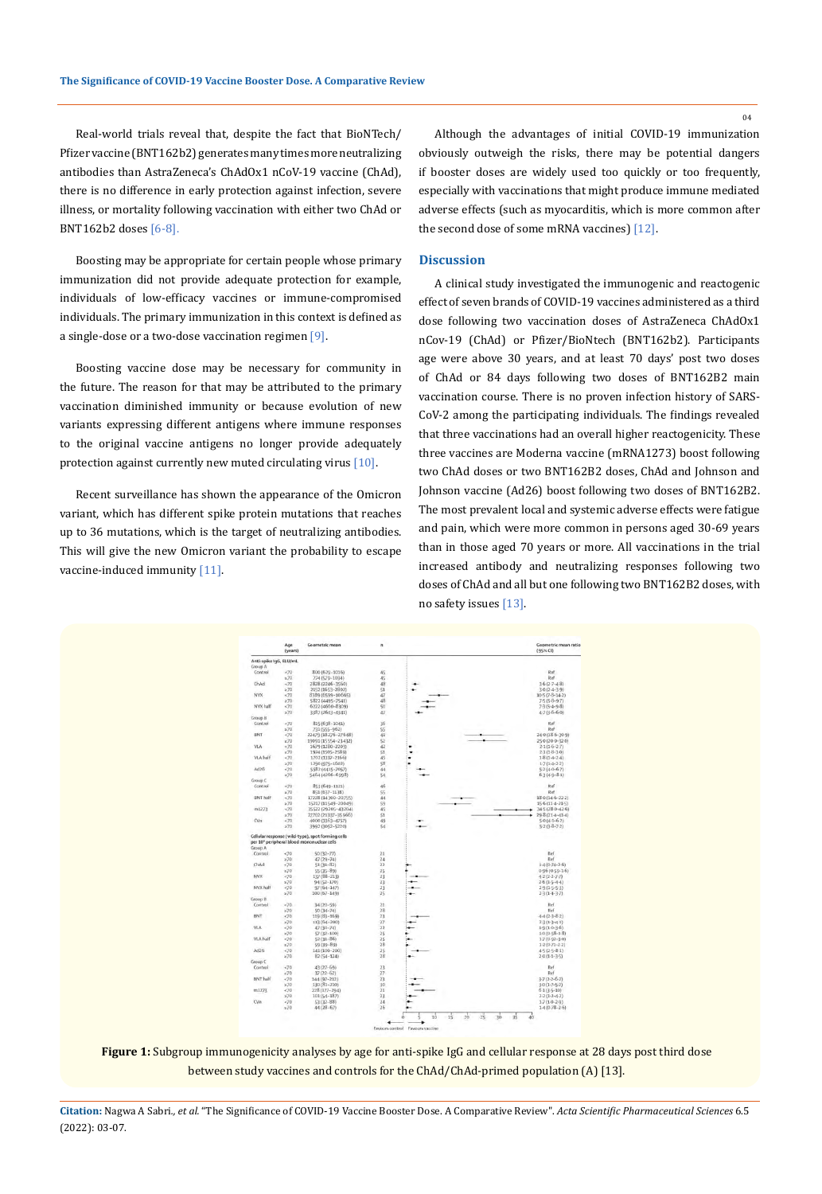Real-world trials reveal that, despite the fact that BioNTech/ Pfizer vaccine (BNT162b2) generates many times more neutralizing antibodies than AstraZeneca's ChAdOx1 nCoV-19 vaccine (ChAd), there is no difference in early protection against infection, severe illness, or mortality following vaccination with either two ChAd or BNT162b2 doses [6-8].

Boosting may be appropriate for certain people whose primary immunization did not provide adequate protection for example, individuals of low-efficacy vaccines or immune-compromised individuals. The primary immunization in this context is defined as a single-dose or a two-dose vaccination regimen [9].

Boosting vaccine dose may be necessary for community in the future. The reason for that may be attributed to the primary vaccination diminished immunity or because evolution of new variants expressing different antigens where immune responses to the original vaccine antigens no longer provide adequately protection against currently new muted circulating virus [10].

Recent surveillance has shown the appearance of the Omicron variant, which has different spike protein mutations that reaches up to 36 mutations, which is the target of neutralizing antibodies. This will give the new Omicron variant the probability to escape vaccine-induced immunity [11].

Although the advantages of initial COVID-19 immunization obviously outweigh the risks, there may be potential dangers if booster doses are widely used too quickly or too frequently, especially with vaccinations that might produce immune mediated adverse effects (such as myocarditis, which is more common after the second dose of some mRNA vaccines) [12].

#### **Discussion**

A clinical study investigated the immunogenic and reactogenic effect of seven brands of COVID-19 vaccines administered as a third dose following two vaccination doses of AstraZeneca ChAdOx1 nCov-19 (ChAd) or Pfizer/BioNtech (BNT162b2). Participants age were above 30 years, and at least 70 days' post two doses of ChAd or 84 days following two doses of BNT162B2 main vaccination course. There is no proven infection history of SARS-CoV-2 among the participating individuals. The findings revealed that three vaccinations had an overall higher reactogenicity. These three vaccines are Moderna vaccine (mRNA1273) boost following two ChAd doses or two BNT162B2 doses, ChAd and Johnson and Johnson vaccine (Ad26) boost following two doses of BNT162B2. The most prevalent local and systemic adverse effects were fatigue and pain, which were more common in persons aged 30-69 years than in those aged 70 years or more. All vaccinations in the trial increased antibody and neutralizing responses following two doses of ChAd and all but one following two BNT162B2 doses, with no safety issues [13].



**Figure 1:** Subgroup immunogenicity analyses by age for anti-spike IgG and cellular response at 28 days post third dose between study vaccines and controls for the ChAd/ChAd-primed population (A) [13].

**Citation:** Nagwa A Sabri*., et al.* "The Significance of COVID-19 Vaccine Booster Dose. A Comparative Review". *Acta Scientific Pharmaceutical Sciences* 6.5 (2022): 03-07.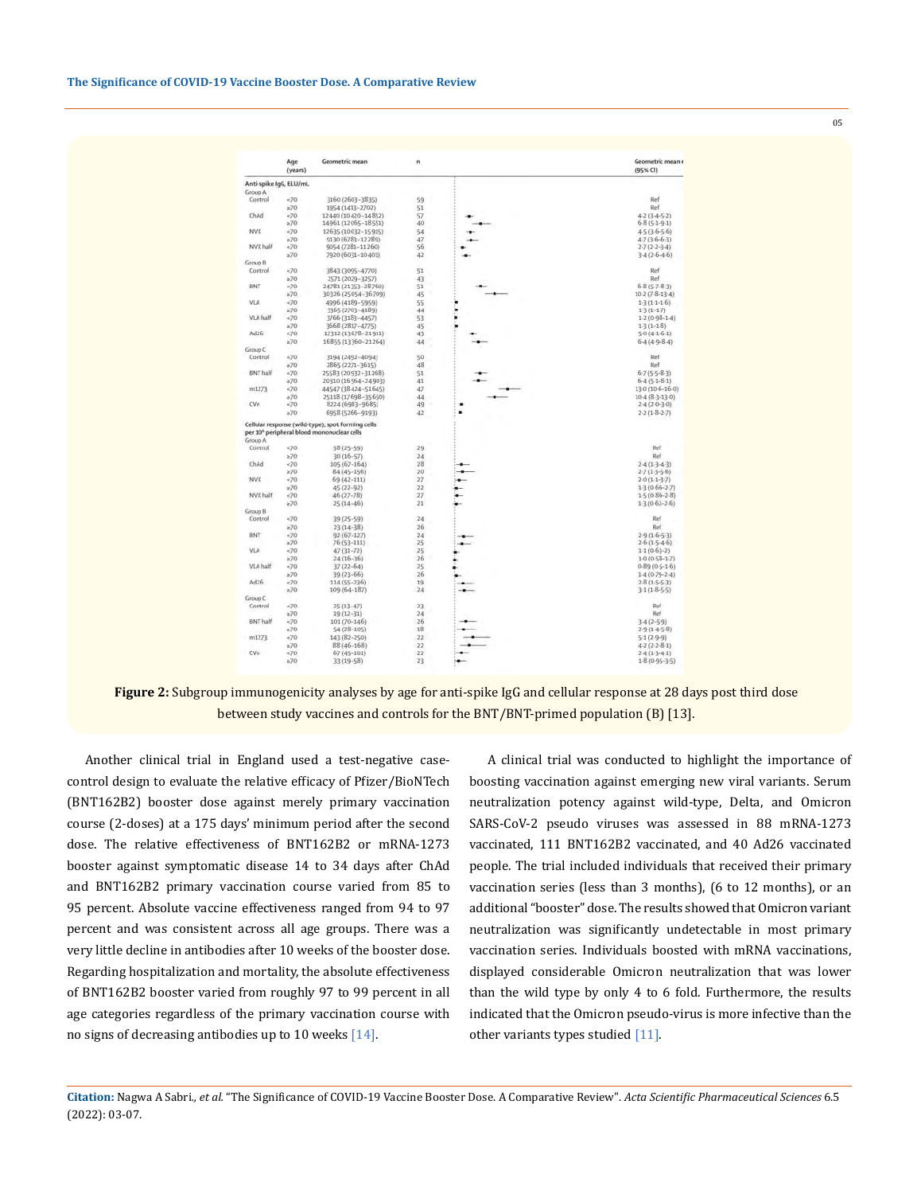|                            | Age<br>(years) | Geometric mean                                                                                              | n  |   | Geometric mean r.<br>$(95%$ CI) |
|----------------------------|----------------|-------------------------------------------------------------------------------------------------------------|----|---|---------------------------------|
| Anti-spike IgG, ELU/mL     |                |                                                                                                             |    |   |                                 |
| A quota                    |                |                                                                                                             |    |   |                                 |
| Control                    | $-70$          | 3160 (2603-3835)                                                                                            | 59 |   | Ref                             |
|                            | z70            | 1954 (1413-2702)                                                                                            | 51 |   | Ref                             |
| ChAd                       | 270            | 12440 (10420-14852)                                                                                         | 57 |   | $42 (3.4 - 5.2)$                |
|                            | $\geq 70$      | 14961 (12065-18551)                                                                                         | 40 |   | $6-8(5-1-9-1)$                  |
| NVX                        | $-70$          | 12635 (10032-15915)                                                                                         | 54 |   | $45(3.6-5.6)$                   |
|                            | z70            | 9130 (6783-12289)                                                                                           | 47 |   | 47(36-63)                       |
| NVX half                   | $-70$          | 9054 (7281-11260)                                                                                           | 56 |   | $2.7(2.2-3.4)$                  |
|                            | $\geq 70$      | 7920 (6031-10401)                                                                                           | 42 |   | $3.4(2.6-4.6)$                  |
| <b>Group B</b>             |                |                                                                                                             |    |   |                                 |
|                            |                |                                                                                                             |    |   |                                 |
| Control                    | <70            | 3843 (3095-4770)                                                                                            | 51 |   | Ref                             |
|                            | $\geq 70$      | 2571 (2029-3257)                                                                                            | 43 |   | Ref                             |
| BNT<br>VLA                 | $-70$          | 24781 (21353-28760)                                                                                         | 51 |   | $6.8(5.7 - 8.3)$                |
|                            | x70            | 30326 (25054-36709)                                                                                         | 45 |   | $10.2(7.8-13.4)$                |
|                            | ~10            | 4996 (4189-5959)                                                                                            | 55 |   | $1-3(1-1-1-6)$                  |
|                            | $\geq 70$      | 3365 (2703-4189)                                                                                            | 44 |   | $13(1-1.7)$                     |
| VLA half                   | ~170           | 3766 (3183-4457)                                                                                            | 53 |   | $1.2(0.98-1.4)$                 |
|                            | $\approx 70$   | 3668 (2817-4775)                                                                                            | 45 |   | $1.3(1 - 1.8)$                  |
| Ad26                       | $-70$          | 17312 (13678-21911)                                                                                         | 43 |   | $50(4.1-6.1)$                   |
|                            | $\geq 70$      | 16855 (13360-21264)                                                                                         | 44 |   | $6.4(4.9-8.4)$                  |
| Group <sub>C</sub>         |                |                                                                                                             |    |   |                                 |
| Control<br><b>BNT</b> half | $-70$          | 3194 (2492-4094)                                                                                            | 50 |   | Ref                             |
|                            | a70            | 2865 (2271-3615)                                                                                            | 48 |   | Ref                             |
|                            | $-70$          | 25583 (20932-31268)                                                                                         | 51 |   | $6 - 7 (5 - 5 - 8 - 3)$         |
|                            |                |                                                                                                             |    |   |                                 |
|                            | $\approx 70$   | 20310 (16564-24903)                                                                                         | 41 |   | $6-4(5-1-8-1)$                  |
| m1273                      | $-70$          | 44547 (38 424-51 645)                                                                                       | 47 |   | 130 (10-6-16-0)                 |
| CVn                        | a70            | 25118 (17698-35650)                                                                                         | 44 |   | $10-4(8-3-13-0)$                |
|                            | $-70$          | 8224 (6983-9685)                                                                                            | 49 |   | $2.4(2.0-3.0)$                  |
|                            | $\geq 70$      | 6958 (5266-9193)                                                                                            | 42 | ٠ | $2 - 2(1 - 8 - 2 - 7)$          |
| Group A                    |                | Cellular response (wild-type), spot forming cells<br>per 10 <sup>6</sup> peripheral blood mononuclear cells |    |   |                                 |
| Control<br>ChAd            | 570            | 38 (25-59)                                                                                                  | 29 |   | Ref                             |
|                            | $\geq 70$      |                                                                                                             | 24 |   | Ref                             |
|                            |                | $30(16 - 57)$                                                                                               |    |   |                                 |
|                            | ~170           | $105(67 - 164)$                                                                                             | 28 |   | $2.4(1.3-4.3)$                  |
|                            | $\geq 70$      | $84(45 - 156)$                                                                                              | 20 |   | $2.7(1.3-5.6)$                  |
| NVX<br>NVX half            | $-70$          | $69(42 - 111)$                                                                                              | 27 |   | $2.0(1.1-3.7)$                  |
|                            | $\pm 70$       | 45 (22-92)                                                                                                  | 22 |   | 13 (0.66-2.7)                   |
|                            | <70            | $46(27 - 78)$                                                                                               | 27 |   | 15(0-86-2-8)                    |
|                            | $\approx 70$   | $25(14 - 46)$                                                                                               | 21 |   | $1.3(0.62 - 2.6)$               |
| Group B                    |                |                                                                                                             |    |   |                                 |
| Control                    | $-70$          | $39(25 - 59)$                                                                                               | 24 |   | Ref                             |
|                            | $\geq 70$      | $23(14-38)$                                                                                                 | 26 |   | Ref                             |
| BNT                        | $-70$          | $92(67 - 127)$                                                                                              | 24 |   | $29(16-53)$                     |
|                            | z70            | 76 (53-111)                                                                                                 | 25 |   | $2.6(1.5-4.6)$                  |
| VLA                        | $-70$          | $47(31 - 72)$                                                                                               | 25 |   | $1.1(0.63-2)$                   |
| <b>VLA half</b>            | a70            | $24(16-36)$                                                                                                 | 26 |   | $1.0(0.58 - 1.7)$               |
|                            | $-70$          |                                                                                                             | 25 |   |                                 |
| Ad26                       |                | $37(22 - 64)$                                                                                               |    |   | $0.89(0.5 - 1.6)$               |
|                            | a70            | $39(23 - 66)$                                                                                               | 26 |   | $1.4(0.79 - 2.4)$               |
|                            | $-70$          | 114 (55-236)                                                                                                | 19 |   | $2.8(1-5-5-3)$                  |
|                            | 270            | $109(64 - 187)$                                                                                             | 24 |   | $31(1.8 - 5.5)$                 |
| Group <sub>C</sub>         |                |                                                                                                             |    |   |                                 |
| Control                    | $-70$          | $25(13 - 47)$                                                                                               | 23 |   | Ref                             |
|                            | z70            | $19(12 - 31)$                                                                                               | 24 |   | Ref                             |
| <b>BNT</b> half<br>m1273   | $\times 70$    | $101(70 - 146)$                                                                                             | 26 |   | $3.4(2-5.9)$                    |
|                            | $\geq 70$      | $54(28 - 105)$                                                                                              | 18 |   | $29(14-58)$                     |
|                            | 270            | 143 (82-250)                                                                                                | 22 |   | $5-1(2-9-9)$                    |
| CVn                        | z70            | 88 (46-168)                                                                                                 | 22 |   | $42(2-2-8-1)$                   |
|                            | <70            | $67(45 - 101)$                                                                                              | 22 |   | $2.4(1-3-4.1)$                  |
|                            | 270            | $33(19 - 58)$                                                                                               | 23 |   | $1.8(0.95 - 3.5)$               |
|                            |                |                                                                                                             |    |   |                                 |

**Figure 2:** Subgroup immunogenicity analyses by age for anti-spike IgG and cellular response at 28 days post third dose between study vaccines and controls for the BNT/BNT-primed population (B) [13].

Another clinical trial in England used a test-negative casecontrol design to evaluate the relative efficacy of Pfizer/BioNTech (BNT162B2) booster dose against merely primary vaccination course (2-doses) at a 175 days' minimum period after the second dose. The relative effectiveness of BNT162B2 or mRNA-1273 booster against symptomatic disease 14 to 34 days after ChAd and BNT162B2 primary vaccination course varied from 85 to 95 percent. Absolute vaccine effectiveness ranged from 94 to 97 percent and was consistent across all age groups. There was a very little decline in antibodies after 10 weeks of the booster dose. Regarding hospitalization and mortality, the absolute effectiveness of BNT162B2 booster varied from roughly 97 to 99 percent in all age categories regardless of the primary vaccination course with no signs of decreasing antibodies up to 10 weeks  $[14]$ .

A clinical trial was conducted to highlight the importance of boosting vaccination against emerging new viral variants. Serum neutralization potency against wild-type, Delta, and Omicron SARS-CoV-2 pseudo viruses was assessed in 88 mRNA-1273 vaccinated, 111 BNT162B2 vaccinated, and 40 Ad26 vaccinated people. The trial included individuals that received their primary vaccination series (less than 3 months), (6 to 12 months), or an additional "booster" dose. The results showed that Omicron variant neutralization was significantly undetectable in most primary vaccination series. Individuals boosted with mRNA vaccinations, displayed considerable Omicron neutralization that was lower than the wild type by only 4 to 6 fold. Furthermore, the results indicated that the Omicron pseudo-virus is more infective than the other variants types studied [11].

05

**Citation:** Nagwa A Sabri*., et al.* "The Significance of COVID-19 Vaccine Booster Dose. A Comparative Review". *Acta Scientific Pharmaceutical Sciences* 6.5 (2022): 03-07.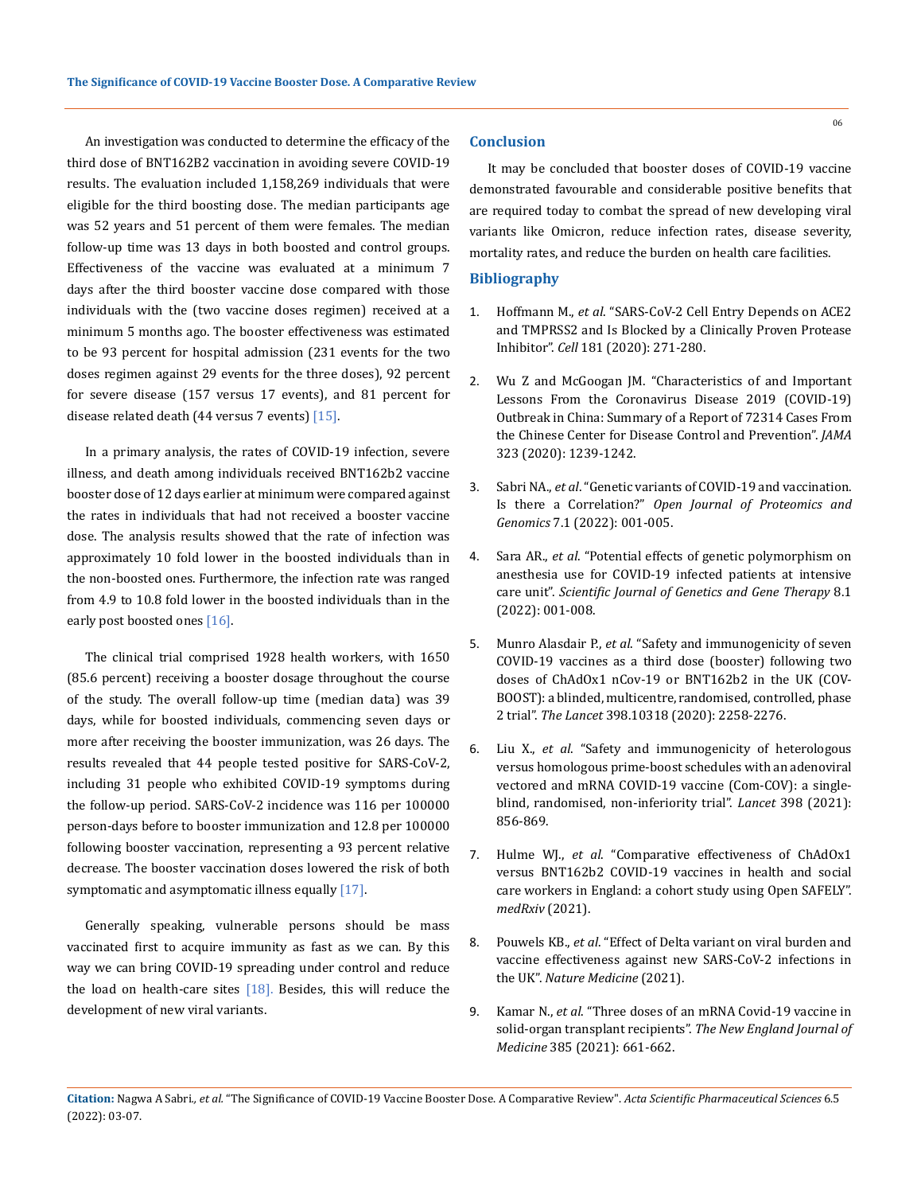An investigation was conducted to determine the efficacy of the third dose of BNT162B2 vaccination in avoiding severe COVID-19 results. The evaluation included 1,158,269 individuals that were eligible for the third boosting dose. The median participants age was 52 years and 51 percent of them were females. The median follow-up time was 13 days in both boosted and control groups. Effectiveness of the vaccine was evaluated at a minimum 7 days after the third booster vaccine dose compared with those individuals with the (two vaccine doses regimen) received at a minimum 5 months ago. The booster effectiveness was estimated to be 93 percent for hospital admission (231 events for the two doses regimen against 29 events for the three doses), 92 percent for severe disease (157 versus 17 events), and 81 percent for disease related death (44 versus 7 events) [15].

In a primary analysis, the rates of COVID-19 infection, severe illness, and death among individuals received BNT162b2 vaccine booster dose of 12 days earlier at minimum were compared against the rates in individuals that had not received a booster vaccine dose. The analysis results showed that the rate of infection was approximately 10 fold lower in the boosted individuals than in the non-boosted ones. Furthermore, the infection rate was ranged from 4.9 to 10.8 fold lower in the boosted individuals than in the early post boosted ones [16].

The clinical trial comprised 1928 health workers, with 1650 (85.6 percent) receiving a booster dosage throughout the course of the study. The overall follow-up time (median data) was 39 days, while for boosted individuals, commencing seven days or more after receiving the booster immunization, was 26 days. The results revealed that 44 people tested positive for SARS-CoV-2, including 31 people who exhibited COVID-19 symptoms during the follow-up period. SARS-CoV-2 incidence was 116 per 100000 person-days before to booster immunization and 12.8 per 100000 following booster vaccination, representing a 93 percent relative decrease. The booster vaccination doses lowered the risk of both symptomatic and asymptomatic illness equally  $[17]$ .

Generally speaking, vulnerable persons should be mass vaccinated first to acquire immunity as fast as we can. By this way we can bring COVID-19 spreading under control and reduce the load on health-care sites  $[18]$ . Besides, this will reduce the development of new viral variants.

### **Conclusion**

It may be concluded that booster doses of COVID-19 vaccine demonstrated favourable and considerable positive benefits that are required today to combat the spread of new developing viral variants like Omicron, reduce infection rates, disease severity, mortality rates, and reduce the burden on health care facilities.

#### **Bibliography**

- 1. Hoffmann M., *et al*[. "SARS-CoV-2 Cell Entry Depends on ACE2](https://pubmed.ncbi.nlm.nih.gov/32142651/)  [and TMPRSS2 and Is Blocked by a Clinically Proven Protease](https://pubmed.ncbi.nlm.nih.gov/32142651/)  Inhibitor". *Cell* [181 \(2020\): 271-280.](https://pubmed.ncbi.nlm.nih.gov/32142651/)
- 2. [Wu Z and McGoogan JM. "Characteristics of and Important](https://pubmed.ncbi.nlm.nih.gov/32091533/)  [Lessons From the Coronavirus Disease 2019 \(COVID-19\)](https://pubmed.ncbi.nlm.nih.gov/32091533/)  [Outbreak in China: Summary of a Report of 72314 Cases From](https://pubmed.ncbi.nlm.nih.gov/32091533/)  [the Chinese Center for Disease Control and Prevention".](https://pubmed.ncbi.nlm.nih.gov/32091533/) *JAMA* [323 \(2020\): 1239-1242.](https://pubmed.ncbi.nlm.nih.gov/32091533/)
- 3. Sabri NA., *et al*. "Genetic variants of COVID-19 and vaccination. Is there a Correlation?" *Open Journal of Proteomics and Genomics* 7.1 (2022): 001-005.
- 4. Sara AR., *et al*[. "Potential effects of genetic polymorphism on](https://www.peertechzpublications.com/articles/SJGGT-8-120.pdf)  [anesthesia use for COVID-19 infected patients at intensive](https://www.peertechzpublications.com/articles/SJGGT-8-120.pdf)  care unit". *[Scientific Journal of Genetics and Gene Therapy](https://www.peertechzpublications.com/articles/SJGGT-8-120.pdf)* 8.1 [\(2022\): 001-008.](https://www.peertechzpublications.com/articles/SJGGT-8-120.pdf)
- 5. Munro Alasdair P., *et al*[. "Safety and immunogenicity of seven](https://www.thelancet.com/journals/lancet/article/PIIS0140-6736(21)02717-3/fulltext)  [COVID-19 vaccines as a third dose \(booster\) following two](https://www.thelancet.com/journals/lancet/article/PIIS0140-6736(21)02717-3/fulltext)  [doses of ChAdOx1 nCov-19 or BNT162b2 in the UK \(COV-](https://www.thelancet.com/journals/lancet/article/PIIS0140-6736(21)02717-3/fulltext)[BOOST\): a blinded, multicentre, randomised, controlled, phase](https://www.thelancet.com/journals/lancet/article/PIIS0140-6736(21)02717-3/fulltext)  2 trial". *The Lancet* [398.10318 \(2020\): 2258-2276.](https://www.thelancet.com/journals/lancet/article/PIIS0140-6736(21)02717-3/fulltext)
- 6. Liu X., *et al*[. "Safety and immunogenicity of heterologous](https://www.thelancet.com/journals/lancet/article/PIIS0140-6736(21)01694-9/fulltext)  [versus homologous prime-boost schedules with an adenoviral](https://www.thelancet.com/journals/lancet/article/PIIS0140-6736(21)01694-9/fulltext)  [vectored and mRNA COVID-19 vaccine \(Com-COV\): a single](https://www.thelancet.com/journals/lancet/article/PIIS0140-6736(21)01694-9/fulltext)[blind, randomised, non-inferiority trial".](https://www.thelancet.com/journals/lancet/article/PIIS0140-6736(21)01694-9/fulltext) *Lancet* 398 (2021): [856-869.](https://www.thelancet.com/journals/lancet/article/PIIS0140-6736(21)01694-9/fulltext)
- 7. Hulme WJ., *et al*. "Comparative effectiveness of ChAdOx1 versus BNT162b2 COVID-19 vaccines in health and social care workers in England: a cohort study using Open SAFELY". *medRxiv* (2021).
- 8. Pouwels KB., *et al*[. "Effect of Delta variant on viral burden and](https://www.nature.com/articles/s41591-021-01548-7)  [vaccine effectiveness against new SARS-CoV-2 infections in](https://www.nature.com/articles/s41591-021-01548-7)  the UK". *[Nature Medicine](https://www.nature.com/articles/s41591-021-01548-7)* (2021).
- 9. Kamar N., *et al*[. "Three doses of an mRNA Covid-19 vaccine in](https://www.nejm.org/doi/full/10.1056/NEJMc2108861)  [solid-organ transplant recipients".](https://www.nejm.org/doi/full/10.1056/NEJMc2108861) *The New England Journal of Medicine* [385 \(2021\): 661-662.](https://www.nejm.org/doi/full/10.1056/NEJMc2108861)

06

**Citation:** Nagwa A Sabri*., et al.* "The Significance of COVID-19 Vaccine Booster Dose. A Comparative Review". *Acta Scientific Pharmaceutical Sciences* 6.5 (2022): 03-07.